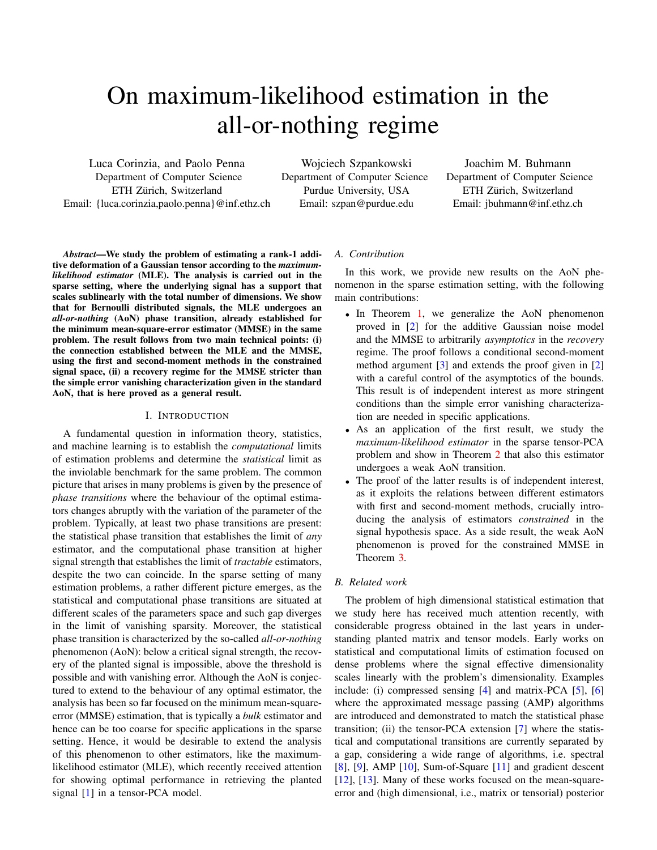# On maximum-likelihood estimation in the all-or-nothing regime

Luca Corinzia, and Paolo Penna Department of Computer Science ETH Zürich, Switzerland Email: {luca.corinzia,paolo.penna}@inf.ethz.ch

Wojciech Szpankowski Department of Computer Science Purdue University, USA Email: szpan@purdue.edu

Joachim M. Buhmann Department of Computer Science ETH Zürich, Switzerland Email: jbuhmann@inf.ethz.ch

*Abstract*—We study the problem of estimating a rank-1 additive deformation of a Gaussian tensor according to the *maximumlikelihood estimator* (MLE). The analysis is carried out in the sparse setting, where the underlying signal has a support that scales sublinearly with the total number of dimensions. We show that for Bernoulli distributed signals, the MLE undergoes an *all-or-nothing* (AoN) phase transition, already established for the minimum mean-square-error estimator (MMSE) in the same problem. The result follows from two main technical points: (i) the connection established between the MLE and the MMSE, using the first and second-moment methods in the constrained signal space, (ii) a recovery regime for the MMSE stricter than the simple error vanishing characterization given in the standard AoN, that is here proved as a general result.

#### I. INTRODUCTION

A fundamental question in information theory, statistics, and machine learning is to establish the *computational* limits of estimation problems and determine the *statistical* limit as the inviolable benchmark for the same problem. The common picture that arises in many problems is given by the presence of *phase transitions* where the behaviour of the optimal estimators changes abruptly with the variation of the parameter of the problem. Typically, at least two phase transitions are present: the statistical phase transition that establishes the limit of *any* estimator, and the computational phase transition at higher signal strength that establishes the limit of *tractable* estimators, despite the two can coincide. In the sparse setting of many estimation problems, a rather different picture emerges, as the statistical and computational phase transitions are situated at different scales of the parameters space and such gap diverges in the limit of vanishing sparsity. Moreover, the statistical phase transition is characterized by the so-called *all-or-nothing* phenomenon (AoN): below a critical signal strength, the recovery of the planted signal is impossible, above the threshold is possible and with vanishing error. Although the AoN is conjectured to extend to the behaviour of any optimal estimator, the analysis has been so far focused on the minimum mean-squareerror (MMSE) estimation, that is typically a *bulk* estimator and hence can be too coarse for specific applications in the sparse setting. Hence, it would be desirable to extend the analysis of this phenomenon to other estimators, like the maximumlikelihood estimator (MLE), which recently received attention for showing optimal performance in retrieving the planted signal [\[1\]](#page-8-0) in a tensor-PCA model.

## *A. Contribution*

In this work, we provide new results on the AoN phenomenon in the sparse estimation setting, with the following main contributions:

- In Theorem [1,](#page-2-0) we generalize the AoN phenomenon proved in [\[2\]](#page-8-1) for the additive Gaussian noise model and the MMSE to arbitrarily *asymptotics* in the *recovery* regime. The proof follows a conditional second-moment method argument [\[3\]](#page-8-2) and extends the proof given in [\[2\]](#page-8-1) with a careful control of the asymptotics of the bounds. This result is of independent interest as more stringent conditions than the simple error vanishing characterization are needed in specific applications.
- As an application of the first result, we study the *maximum-likelihood estimator* in the sparse tensor-PCA problem and show in Theorem [2](#page-3-0) that also this estimator undergoes a weak AoN transition.
- The proof of the latter results is of independent interest, as it exploits the relations between different estimators with first and second-moment methods, crucially introducing the analysis of estimators *constrained* in the signal hypothesis space. As a side result, the weak AoN phenomenon is proved for the constrained MMSE in Theorem [3.](#page-4-0)

## *B. Related work*

The problem of high dimensional statistical estimation that we study here has received much attention recently, with considerable progress obtained in the last years in understanding planted matrix and tensor models. Early works on statistical and computational limits of estimation focused on dense problems where the signal effective dimensionality scales linearly with the problem's dimensionality. Examples include: (i) compressed sensing [\[4\]](#page-8-3) and matrix-PCA [\[5\]](#page-8-4), [\[6\]](#page-8-5) where the approximated message passing (AMP) algorithms are introduced and demonstrated to match the statistical phase transition; (ii) the tensor-PCA extension [\[7\]](#page-8-6) where the statistical and computational transitions are currently separated by a gap, considering a wide range of algorithms, i.e. spectral [\[8\]](#page-8-7), [\[9\]](#page-8-8), AMP [\[10\]](#page-8-9), Sum-of-Square [\[11\]](#page-8-10) and gradient descent [\[12\]](#page-8-11), [\[13\]](#page-8-12). Many of these works focused on the mean-squareerror and (high dimensional, i.e., matrix or tensorial) posterior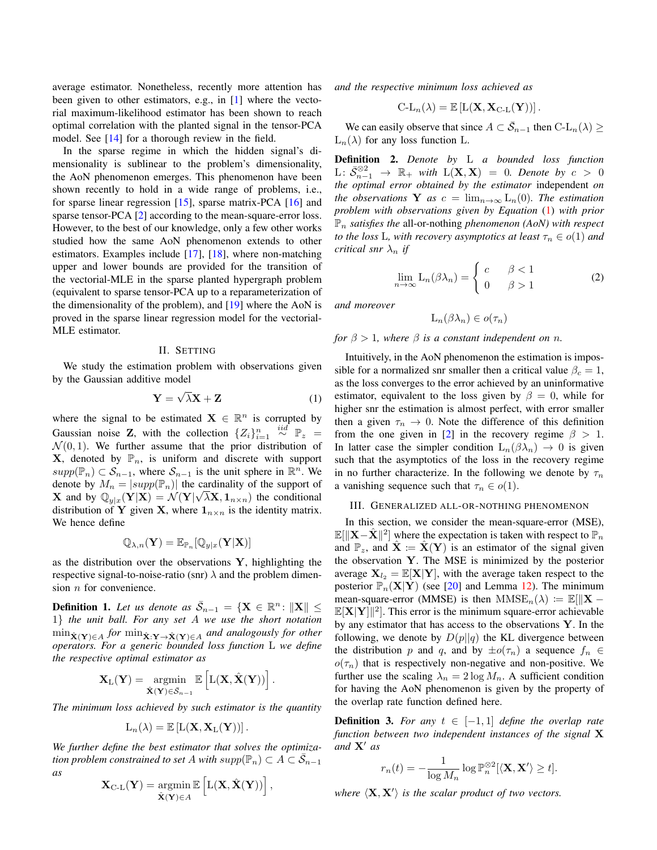average estimator. Nonetheless, recently more attention has been given to other estimators, e.g., in [\[1\]](#page-8-0) where the vectorial maximum-likelihood estimator has been shown to reach optimal correlation with the planted signal in the tensor-PCA model. See [\[14\]](#page-8-13) for a thorough review in the field.

In the sparse regime in which the hidden signal's dimensionality is sublinear to the problem's dimensionality, the AoN phenomenon emerges. This phenomenon have been shown recently to hold in a wide range of problems, i.e., for sparse linear regression [\[15\]](#page-8-14), sparse matrix-PCA [\[16\]](#page-8-15) and sparse tensor-PCA [\[2\]](#page-8-1) according to the mean-square-error loss. However, to the best of our knowledge, only a few other works studied how the same AoN phenomenon extends to other estimators. Examples include [\[17\]](#page-8-16), [\[18\]](#page-8-17), where non-matching upper and lower bounds are provided for the transition of the vectorial-MLE in the sparse planted hypergraph problem (equivalent to sparse tensor-PCA up to a reparameterization of the dimensionality of the problem), and [\[19\]](#page-8-18) where the AoN is proved in the sparse linear regression model for the vectorial-MLE estimator.

## II. SETTING

We study the estimation problem with observations given by the Gaussian additive model

<span id="page-1-0"></span>
$$
\mathbf{Y} = \sqrt{\lambda}\mathbf{X} + \mathbf{Z} \tag{1}
$$

where the signal to be estimated  $X \in \mathbb{R}^n$  is corrupted by Gaussian noise Z, with the collection  $\{Z_i\}_{i=1}^n \overset{iid}{\sim} \mathbb{P}_z =$  $\mathcal{N}(0, 1)$ . We further assume that the prior distribution of **X**, denoted by  $\mathbb{P}_n$ , is uniform and discrete with support  $supp(\mathbb{P}_n) \subset \mathcal{S}_{n-1}$ , where  $\mathcal{S}_{n-1}$  is the unit sphere in  $\mathbb{R}^n$ . We denote by  $M_n = |supp(\mathbb{P}_n)|$  the cardinality of the support of **X** and by  $\mathbb{Q}_{y|x}(\mathbf{Y}|\mathbf{X}) = \mathcal{N}(\mathbf{Y}|\sqrt{\lambda}\mathbf{X}, \mathbf{1}_{n \times n})$  the conditional distribution of Y given X, where  $1_{n \times n}$  is the identity matrix. We hence define

$$
\mathbb{Q}_{\lambda,n}(\mathbf{Y}) = \mathbb{E}_{\mathbb{P}_n}[\mathbb{Q}_{y|x}(\mathbf{Y}|\mathbf{X})]
$$

as the distribution over the observations  $Y$ , highlighting the respective signal-to-noise-ratio (snr)  $\lambda$  and the problem dimension  $n$  for convenience.

<span id="page-1-3"></span>**Definition 1.** Let us denote as  $\bar{S}_{n-1} = {\mathbf{X} \in \mathbb{R}^n : ||\mathbf{X}|| \leq \mathbf{0}}$ 1} *the unit ball. For any set* A *we use the short notation*  $\min_{\hat{\mathbf{X}}(\mathbf{Y}) \in A}$  for  $\min_{\hat{\mathbf{X}}: \mathbf{Y} \to \hat{\mathbf{X}}(\mathbf{Y}) \in A}$  and analogously for other *operators. For a generic bounded loss function* L *we define the respective optimal estimator as*

$$
\mathbf{X}_{\mathrm{L}}(\mathbf{Y}) = \operatorname*{argmin}_{\hat{\mathbf{X}}(\mathbf{Y}) \in \bar{\mathcal{S}}_{n-1}} \mathbb{E}\left[\mathrm{L}(\mathbf{X}, \hat{\mathbf{X}}(\mathbf{Y}))\right].
$$

*The minimum loss achieved by such estimator is the quantity*

$$
L_n(\lambda) = \mathbb{E}\left[L(\mathbf{X}, \mathbf{X}_L(\mathbf{Y}))\right].
$$

*We further define the best estimator that solves the optimization problem constrained to set A with*  $supp(\mathbb{P}_n) \subset A \subset \overline{S}_{n-1}$ *as*

$$
\mathbf{X}_{\text{C-L}}(\mathbf{Y}) = \operatorname*{argmin}_{\hat{\mathbf{X}}(\mathbf{Y}) \in A} \mathbb{E}\left[L(\mathbf{X}, \hat{\mathbf{X}}(\mathbf{Y}))\right],
$$

*and the respective minimum loss achieved as*

$$
C-L_n(\lambda) = \mathbb{E}\left[L(\mathbf{X}, \mathbf{X}_{C-L}(\mathbf{Y}))\right].
$$

We can easily observe that since  $A \subset \overline{S}_{n-1}$  then  $C\text{-}L_n(\lambda) \geq$  $L_n(\lambda)$  for any loss function L.

<span id="page-1-1"></span>Definition 2. *Denote by* L *a bounded loss function* L:  $\bar{\mathcal{S}}_{n-1}^{\otimes 2}$  →  $\mathbb{R}_+$  *with* L(**X**, **X**) = 0*. Denote by c* > 0 *the optimal error obtained by the estimator* independent *on the observations* **Y** *as*  $c = \lim_{n \to \infty} L_n(0)$ *. The estimation problem with observations given by Equation* [\(1\)](#page-1-0) *with prior*  $\mathbb{P}_n$  *satisfies the* all-or-nothing *phenomenon* (AoN) with respect *to the loss* L, with recovery asymptotics at least  $\tau_n \in o(1)$  and *critical snr*  $\lambda_n$  *if* 

<span id="page-1-2"></span>
$$
\lim_{n \to \infty} \mathcal{L}_n(\beta \lambda_n) = \begin{cases} c & \beta < 1 \\ 0 & \beta > 1 \end{cases} \tag{2}
$$

*and moreover*

$$
\mathcal{L}_n(\beta \lambda_n) \in o(\tau_n)
$$

## *for*  $\beta > 1$ *, where*  $\beta$  *is a constant independent on n.*

Intuitively, in the AoN phenomenon the estimation is impossible for a normalized snr smaller then a critical value  $\beta_c = 1$ , as the loss converges to the error achieved by an uninformative estimator, equivalent to the loss given by  $\beta = 0$ , while for higher snr the estimation is almost perfect, with error smaller then a given  $\tau_n \to 0$ . Note the difference of this definition from the one given in [\[2\]](#page-8-1) in the recovery regime  $\beta > 1$ . In latter case the simpler condition  $L_n(\beta \lambda_n) \rightarrow 0$  is given such that the asymptotics of the loss in the recovery regime in no further characterize. In the following we denote by  $\tau_n$ a vanishing sequence such that  $\tau_n \in o(1)$ .

#### <span id="page-1-4"></span>III. GENERALIZED ALL-OR-NOTHING PHENOMENON

In this section, we consider the mean-square-error (MSE),  $\mathbb{E}[\|\mathbf{X}-\hat{\mathbf{X}}\|^2]$  where the expectation is taken with respect to  $\mathbb{P}_n$ and  $\mathbb{P}_z$ , and  $\mathbf{X} \coloneqq \mathbf{X}(\mathbf{Y})$  is an estimator of the signal given the observation Y. The MSE is minimized by the posterior average  $X_{l_2} = \mathbb{E}[X|Y]$ , with the average taken respect to the posterior  $\mathbb{P}_n(X|Y)$  (see [\[20\]](#page-8-19) and Lemma [12\)](#page-7-0). The minimum mean-square-error (MMSE) is then  $MMSE_n(\lambda) := \mathbb{E}[\mathbf{X} \mathbb{E}[X|Y]$  ?]. This error is the minimum square-error achievable by any estimator that has access to the observations  $Y$ . In the following, we denote by  $D(p||q)$  the KL divergence between the distribution p and q, and by  $\pm o(\tau_n)$  a sequence  $f_n \in$  $o(\tau_n)$  that is respectively non-negative and non-positive. We further use the scaling  $\lambda_n = 2 \log M_n$ . A sufficient condition for having the AoN phenomenon is given by the property of the overlap rate function defined here.

**Definition 3.** *For any*  $t \in [-1, 1]$  *define the overlap rate function between two independent instances of the signal* X and  $X'$  *as* 

$$
r_n(t) = -\frac{1}{\log M_n} \log \mathbb{P}_n^{\otimes 2}[\langle \mathbf{X}, \mathbf{X'} \rangle \ge t].
$$

where  $\langle X, X' \rangle$  *is the scalar product of two vectors.*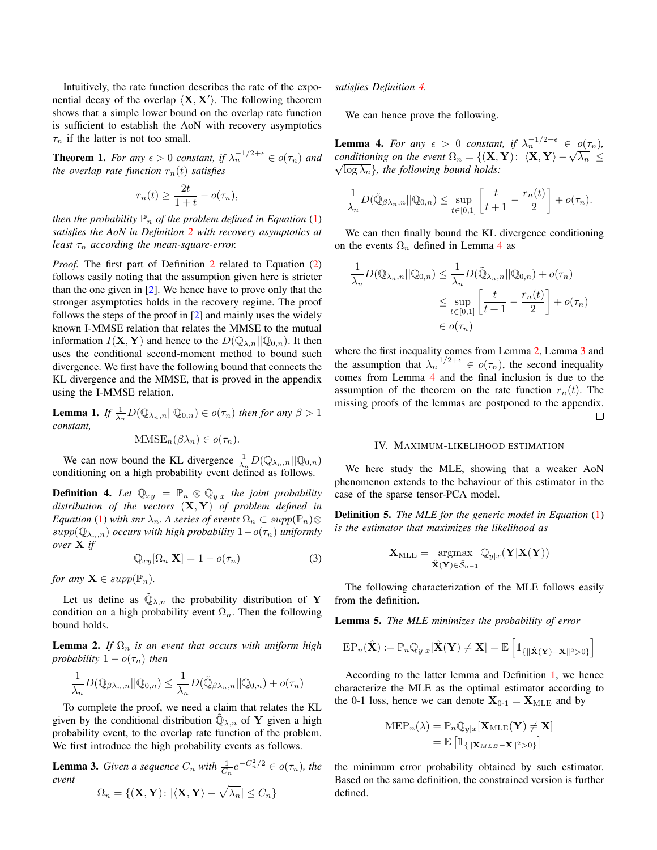Intuitively, the rate function describes the rate of the exponential decay of the overlap  $\langle \mathbf{X}, \mathbf{X}' \rangle$ . The following theorem shows that a simple lower bound on the overlap rate function is sufficient to establish the AoN with recovery asymptotics  $\tau_n$  if the latter is not too small.

<span id="page-2-0"></span>**Theorem 1.** For any  $\epsilon > 0$  constant, if  $\lambda_n^{-1/2+\epsilon} \in o(\tau_n)$  and *the overlap rate function*  $r_n(t)$  *satisfies* 

$$
r_n(t) \ge \frac{2t}{1+t} - o(\tau_n),
$$

*then the probability*  $\mathbb{P}_n$  *of the problem defined in Equation* [\(1\)](#page-1-0) *satisfies the AoN in Definition [2](#page-1-1) with recovery asymptotics at least*  $\tau_n$  *according the mean-square-error.* 

*Proof.* The first part of Definition [2](#page-1-1) related to Equation [\(2\)](#page-1-2) follows easily noting that the assumption given here is stricter than the one given in [\[2\]](#page-8-1). We hence have to prove only that the stronger asymptotics holds in the recovery regime. The proof follows the steps of the proof in [\[2\]](#page-8-1) and mainly uses the widely known I-MMSE relation that relates the MMSE to the mutual information  $I(\mathbf{X}, \mathbf{Y})$  and hence to the  $D(\mathbb{Q}_{\lambda,n}||\mathbb{Q}_{0,n})$ . It then uses the conditional second-moment method to bound such divergence. We first have the following bound that connects the KL divergence and the MMSE, that is proved in the appendix using the I-MMSE relation.

<span id="page-2-5"></span>**Lemma 1.** *If*  $\frac{1}{\lambda_n}D(\mathbb{Q}_{\lambda_n,n}||\mathbb{Q}_{0,n}) \in o(\tau_n)$  *then for any*  $\beta > 1$ *constant,*

 $MMSE_n(\beta \lambda_n) \in o(\tau_n)$ .

We can now bound the KL divergence  $\frac{1}{\lambda_n}D(\mathbb{Q}_{\lambda_n,n}||\mathbb{Q}_{0,n})$ conditioning on a high probability event defined as follows.

<span id="page-2-1"></span>**Definition 4.** Let  $\mathbb{Q}_{xy} = \mathbb{P}_n \otimes \mathbb{Q}_{y|x}$  the joint probability *distribution of the vectors* (X, Y) *of problem defined in Equation* [\(1\)](#page-1-0) *with snr*  $\lambda_n$ *. A series of events*  $\Omega_n \subset supp(\mathbb{P}_n) \otimes$  $supp(\mathbb{Q}_{\lambda_n,n})$  *occurs with high probability*  $1-o(\tau_n)$  *uniformly over* X *if*

$$
\mathbb{Q}_{xy}[\Omega_n|\mathbf{X}] = 1 - o(\tau_n)
$$
\n(3)

*for any*  $\mathbf{X} \in supp(\mathbb{P}_n)$ *.* 

Let us define as  $\tilde{\mathbb{Q}}_{\lambda,n}$  the probability distribution of Y condition on a high probability event  $\Omega_n$ . Then the following bound holds.

<span id="page-2-3"></span>**Lemma 2.** *If*  $\Omega_n$  *is an event that occurs with uniform high probability*  $1 - o(\tau_n)$  *then* 

$$
\frac{1}{\lambda_n}D(\mathbb{Q}_{\beta\lambda_n,n}||\mathbb{Q}_{0,n}) \leq \frac{1}{\lambda_n}D(\tilde{\mathbb{Q}}_{\beta\lambda_n,n}||\mathbb{Q}_{0,n}) + o(\tau_n)
$$

To complete the proof, we need a claim that relates the KL given by the conditional distribution  $\tilde{\mathbb{Q}}_{\lambda,n}$  of Y given a high probability event, to the overlap rate function of the problem. We first introduce the high probability events as follows.

<span id="page-2-4"></span>**Lemma 3.** *Given a sequence*  $C_n$  *with*  $\frac{1}{C_n}e^{-C_n^2/2} \in o(\tau_n)$ *, the event*

$$
\Omega_n = \{ (\mathbf{X,Y}) \colon |\langle \mathbf{X,Y} \rangle - \sqrt{\lambda_n} | \leq C_n \}
$$

*satisfies Definition [4.](#page-2-1)*

<span id="page-2-2"></span>We can hence prove the following.

**Lemma 4.** For any  $\epsilon > 0$  constant, if  $\lambda_n^{-1/2+\epsilon} \in o(\tau_n)$ , *conditioning on the event*  $\Omega_n = \{ (\mathbf{X}, \mathbf{Y}) : |\langle \mathbf{X}, \mathbf{Y} \rangle - \sqrt{\lambda_n} | \leq \Omega_n \}$  $\sqrt{\log \lambda_n}$ *, the following bound holds:* 

$$
\frac{1}{\lambda_n}D(\tilde{\mathbb{Q}}_{\beta\lambda_n,n}||\mathbb{Q}_{0,n}) \leq \sup_{t\in[0,1]}\left[\frac{t}{t+1}-\frac{r_n(t)}{2}\right]+o(\tau_n).
$$

We can then finally bound the KL divergence conditioning on the events  $\Omega_n$  defined in Lemma [4](#page-2-2) as

$$
\frac{1}{\lambda_n} D(\mathbb{Q}_{\lambda_n, n} || \mathbb{Q}_{0,n}) \leq \frac{1}{\lambda_n} D(\tilde{\mathbb{Q}}_{\lambda_n, n} || \mathbb{Q}_{0,n}) + o(\tau_n)
$$
\n
$$
\leq \sup_{t \in [0,1]} \left[ \frac{t}{t+1} - \frac{r_n(t)}{2} \right] + o(\tau_n)
$$
\n
$$
\in o(\tau_n)
$$

where the first inequality comes from Lemma [2,](#page-2-3) Lemma [3](#page-2-4) and the assumption that  $\lambda_n^{-1/2+\epsilon} \in o(\tau_n)$ , the second inequality comes from Lemma [4](#page-2-2) and the final inclusion is due to the assumption of the theorem on the rate function  $r_n(t)$ . The missing proofs of the lemmas are postponed to the appendix. □

#### IV. MAXIMUM-LIKELIHOOD ESTIMATION

<span id="page-2-6"></span>We here study the MLE, showing that a weaker AoN phenomenon extends to the behaviour of this estimator in the case of the sparse tensor-PCA model.

Definition 5. *The MLE for the generic model in Equation* [\(1\)](#page-1-0) *is the estimator that maximizes the likelihood as*

$$
\mathbf{X}_{\mathrm{MLE}} = \underset{\hat{\mathbf{X}}(\mathbf{Y}) \in \bar{S}_{n-1}}{\mathrm{argmax}} \mathbb{Q}_{y|x}(\mathbf{Y}|\mathbf{X}(\mathbf{Y}))
$$

The following characterization of the MLE follows easily from the definition.

<span id="page-2-7"></span>Lemma 5. *The MLE minimizes the probability of error*

$$
\text{EP}_n(\hat{\mathbf{X}}) := \mathbb{P}_n \mathbb{Q}_{y|x}[\hat{\mathbf{X}}(\mathbf{Y}) \neq \mathbf{X}] = \mathbb{E} \left[ \mathbb{1}_{\{\|\hat{\mathbf{X}}(\mathbf{Y}) - \mathbf{X}\|^2 > 0\}} \right]
$$

According to the latter lemma and Definition [1,](#page-1-3) we hence characterize the MLE as the optimal estimator according to the 0-1 loss, hence we can denote  $X_{0-1} = X_{MLE}$  and by

$$
MEP_n(\lambda) = \mathbb{P}_n \mathbb{Q}_{y|x}[\mathbf{X}_{MLE}(\mathbf{Y}) \neq \mathbf{X}]
$$

$$
= \mathbb{E} \left[ \mathbb{1}_{\{ \|\mathbf{X}_{MLE} - \mathbf{X}\|^2 > 0 \}} \right]
$$

the minimum error probability obtained by such estimator. Based on the same definition, the constrained version is further defined.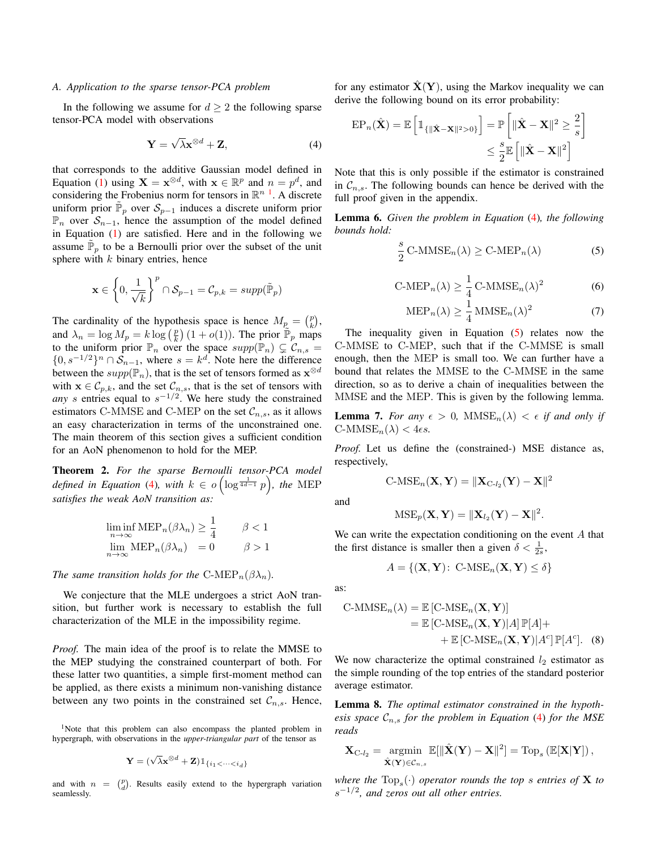## *A. Application to the sparse tensor-PCA problem*

In the following we assume for  $d \geq 2$  the following sparse tensor-PCA model with observations

<span id="page-3-2"></span>
$$
\mathbf{Y} = \sqrt{\lambda} \mathbf{x}^{\otimes d} + \mathbf{Z},\tag{4}
$$

that corresponds to the additive Gaussian model defined in Equation [\(1\)](#page-1-0) using  $\mathbf{X} = \mathbf{x}^{\otimes d}$ , with  $\mathbf{x} \in \mathbb{R}^p$  and  $n = p^d$ , and considering the Frobenius norm for tensors in  $\mathbb{R}^{n}$ <sup>[1](#page-3-1)</sup>. A discrete uniform prior  $\tilde{\mathbb{P}}_p$  over  $\mathcal{S}_{p-1}$  induces a discrete uniform prior  $\mathbb{P}_n$  over  $S_{n-1}$ , hence the assumption of the model defined in Equation  $(1)$  are satisfied. Here and in the following we assume  $\tilde{P}_p$  to be a Bernoulli prior over the subset of the unit sphere with  $k$  binary entries, hence

$$
\mathbf{x} \in \left\{0, \frac{1}{\sqrt{k}}\right\}^p \cap \mathcal{S}_{p-1} = \mathcal{C}_{p,k} = supp(\tilde{\mathbb{P}}_p)
$$

The cardinality of the hypothesis space is hence  $M_{p} = \binom{p}{k}$ , and  $\lambda_n = \log M_p = k \log \left(\frac{p}{k}\right) (1 + o(1))$ . The prior  $\tilde{\mathbb{P}}_p$  maps to the uniform prior  $\mathbb{P}_n$  over the space  $supp(\mathbb{P}_n) \subsetneq \mathcal{C}_{n,s}$  $\{0, s^{-1/2}\}^n \cap S_{n-1}$ , where  $s = k^d$ . Note here the difference between the  $supp(\mathbb{P}_n)$ , that is the set of tensors formed as  $\mathbf{x}^{\otimes d}$ with  $\mathbf{x} \in C_{p,k}$ , and the set  $C_{n,s}$ , that is the set of tensors with *any* s entries equal to  $s^{-1/2}$ . We here study the constrained estimators C-MMSE and C-MEP on the set  $\mathcal{C}_{n,s}$ , as it allows an easy characterization in terms of the unconstrained one. The main theorem of this section gives a sufficient condition for an AoN phenomenon to hold for the MEP.

<span id="page-3-0"></span>Theorem 2. *For the sparse Bernoulli tensor-PCA model defined in Equation* [\(4\)](#page-3-2), with  $k \in o$   $\left(\log^{\frac{1}{4d-1}} p\right)$ , the MEP *satisfies the weak AoN transition as:*

$$
\liminf_{n \to \infty} \text{MEP}_n(\beta \lambda_n) \ge \frac{1}{4} \qquad \beta < 1
$$
  

$$
\lim_{n \to \infty} \text{MEP}_n(\beta \lambda_n) = 0 \qquad \beta > 1
$$

*The same transition holds for the* C-MEP<sub>n</sub>( $\beta \lambda_n$ ).

We conjecture that the MLE undergoes a strict AoN transition, but further work is necessary to establish the full characterization of the MLE in the impossibility regime.

*Proof.* The main idea of the proof is to relate the MMSE to the MEP studying the constrained counterpart of both. For these latter two quantities, a simple first-moment method can be applied, as there exists a minimum non-vanishing distance between any two points in the constrained set  $\mathcal{C}_{n,s}$ . Hence,

<span id="page-3-1"></span><sup>1</sup>Note that this problem can also encompass the planted problem in hypergraph, with observations in the *upper-triangular part* of the tensor as

$$
\mathbf{Y} = (\sqrt{\lambda}\mathbf{x}^{\otimes d} + \mathbf{Z}) \mathbbm{1}_{\{i_1 < \dots < i_d\}}
$$

and with  $n = \begin{pmatrix} p \\ d \end{pmatrix}$ . Results easily extend to the hypergraph variation seamlessly.

for any estimator  $\hat{\mathbf{X}}(\mathbf{Y})$ , using the Markov inequality we can derive the following bound on its error probability:

$$
\mathrm{EP}_n(\hat{\mathbf{X}}) = \mathbb{E}\left[\mathbb{1}_{\{\|\hat{\mathbf{X}} - \mathbf{X}\|^2 > 0\}}\right] = \mathbb{P}\left[\|\hat{\mathbf{X}} - \mathbf{X}\|^2 \ge \frac{2}{s}\right]
$$

$$
\le \frac{s}{2} \mathbb{E}\left[\|\hat{\mathbf{X}} - \mathbf{X}\|^2\right]
$$

Note that this is only possible if the estimator is constrained in  $C_{n,s}$ . The following bounds can hence be derived with the full proof given in the appendix.

<span id="page-3-7"></span>Lemma 6. *Given the problem in Equation* [\(4\)](#page-3-2)*, the following bounds hold:*

<span id="page-3-3"></span>
$$
\frac{s}{2} \text{ C-MMSE}_n(\lambda) \ge \text{ C-MEP}_n(\lambda)
$$
 (5)

$$
\text{C-MEP}_n(\lambda) \ge \frac{1}{4} \text{C-MMSE}_n(\lambda)^2 \tag{6}
$$

<span id="page-3-8"></span>
$$
\text{MEP}_n(\lambda) \ge \frac{1}{4} \,\text{MMSE}_n(\lambda)^2 \tag{7}
$$

The inequality given in Equation [\(5\)](#page-3-3) relates now the C-MMSE to C-MEP, such that if the C-MMSE is small enough, then the MEP is small too. We can further have a bound that relates the MMSE to the C-MMSE in the same direction, so as to derive a chain of inequalities between the MMSE and the MEP. This is given by the following lemma.

<span id="page-3-6"></span>**Lemma 7.** For any  $\epsilon > 0$ ,  $MMSE_n(\lambda) < \epsilon$  if and only if  $\text{C-MMSE}_n(\lambda) < 4\epsilon s$ .

*Proof.* Let us define the (constrained-) MSE distance as, respectively,

$$
\text{C-MSE}_n(\mathbf{X}, \mathbf{Y}) = \|\mathbf{X}_{\text{C-l}_2}(\mathbf{Y}) - \mathbf{X}\|^2
$$

and

$$
\mathrm{MSE}_p(\mathbf{X}, \mathbf{Y}) = \|\mathbf{X}_{l_2}(\mathbf{Y}) - \mathbf{X}\|^2.
$$

We can write the expectation conditioning on the event  $A$  that the first distance is smaller then a given  $\delta < \frac{1}{2s}$ ,

<span id="page-3-5"></span>
$$
A = \{ (\mathbf{X}, \mathbf{Y}) : \ \text{C-MSE}_n(\mathbf{X}, \mathbf{Y}) \le \delta \}
$$

as:

C-MMSE<sub>n</sub>(
$$
\lambda
$$
) =  $\mathbb{E}$  [C-MSE<sub>n</sub>(**X**, **Y**)]  
=  $\mathbb{E}$  [C-MSE<sub>n</sub>(**X**, **Y**)| $A$ ]  $\mathbb{P}[A]$ +  
+  $\mathbb{E}$  [C-MSE<sub>n</sub>(**X**, **Y**)| $A^c$ ]  $\mathbb{P}[A^c]$ . (8)

We now characterize the optimal constrained  $l_2$  estimator as the simple rounding of the top entries of the standard posterior average estimator.

<span id="page-3-4"></span>Lemma 8. *The optimal estimator constrained in the hypothesis space*  $C_{n,s}$  *for the problem in Equation* [\(4\)](#page-3-2) *for the MSE reads*

$$
\mathbf{X}_{C\text{-}l_2} = \operatornamewithlimits{argmin}_{\hat{\mathbf{X}}(\mathbf{Y}) \in \mathcal{C}_{n,s}} \mathbb{E}[\|\hat{\mathbf{X}}(\mathbf{Y}) - \mathbf{X}\|^2] = \mathrm{Top}_s\left(\mathbb{E}[\mathbf{X}|\mathbf{Y}]\right),
$$

where the  $\text{Top}_s(\cdot)$  *operator rounds the top s entries of*  $X$  *to* s −1/2 *, and zeros out all other entries.*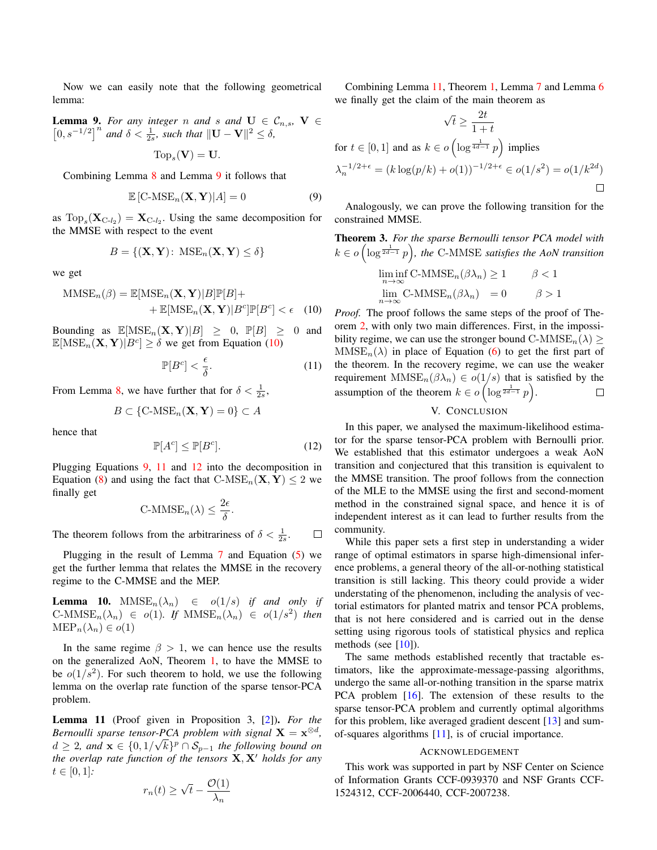Now we can easily note that the following geometrical lemma:

<span id="page-4-1"></span>**Lemma 9.** For any integer n and s and  $U \in \mathcal{C}_{n,s}$ ,  $V \in$  $[0, s^{-1/2}]$ <sup>n</sup> and δ <  $\frac{1}{2s}$ *, such that*  $||$ **U** − **V** $||$ <sup>2</sup> ≤ δ*,* 

$$
Top_s(\mathbf{V})=\mathbf{U}.
$$

Combining Lemma [8](#page-3-4) and Lemma [9](#page-4-1) it follows that

<span id="page-4-3"></span>
$$
\mathbb{E}\left[\text{C-MSE}_n(\mathbf{X}, \mathbf{Y})|A\right] = 0\tag{9}
$$

as  $\text{Top}_s(\mathbf{X}_{C-l_2}) = \mathbf{X}_{C-l_2}$ . Using the same decomposition for the MMSE with respect to the event

$$
B = \{ (\mathbf{X}, \mathbf{Y}) : \operatorname{MSE}_n(\mathbf{X}, \mathbf{Y}) \le \delta \}
$$

we get

$$
\begin{aligned} \text{MMSE}_n(\beta) &= \mathbb{E}[\text{MSE}_n(\mathbf{X}, \mathbf{Y})|B]\mathbb{P}[B] + \\ &+ \mathbb{E}[\text{MSE}_n(\mathbf{X}, \mathbf{Y})|B^c]\mathbb{P}[B^c] < \epsilon \end{aligned} \tag{10}
$$

Bounding as  $\mathbb{E}[\text{MSE}_n(\mathbf{X}, \mathbf{Y})|B] \geq 0$ ,  $\mathbb{P}[B] \geq 0$  and  $\mathbb{E}[\text{MSE}_n(\mathbf{X}, \mathbf{Y})|B^c] \ge \delta$  we get from Equation [\(10\)](#page-4-2)

<span id="page-4-4"></span>
$$
\mathbb{P}[B^c] < \frac{\epsilon}{\delta}.\tag{11}
$$

From Lemma [8,](#page-3-4) we have further that for  $\delta < \frac{1}{2s}$ ,

$$
B \subset \{ \text{C-MSE}_n(\mathbf{X}, \mathbf{Y}) = 0 \} \subset A
$$

hence that

<span id="page-4-5"></span>
$$
\mathbb{P}[A^c] \le \mathbb{P}[B^c].\tag{12}
$$

Plugging Equations [9,](#page-4-3) [11](#page-4-4) and [12](#page-4-5) into the decomposition in Equation [\(8\)](#page-3-5) and using the fact that  $\text{C-MSE}_n(\mathbf{X}, \mathbf{Y}) \leq 2$  we finally get

$$
C\text{-MMSE}_n(\lambda) \leq \frac{2\epsilon}{\delta}.
$$

The theorem follows from the arbitrariness of  $\delta < \frac{1}{2s}$ .  $\Box$ 

Plugging in the result of Lemma [7](#page-3-6) and Equation [\(5\)](#page-3-3) we get the further lemma that relates the MMSE in the recovery regime to the C-MMSE and the MEP.

**Lemma 10.**  $MMSE_n(\lambda_n) \in o(1/s)$  *if and only if*  $C\text{-MMSE}_n(\lambda_n) \in o(1)$ *. If*  $MMSE_n(\lambda_n) \in o(1/s^2)$  *then*  $\text{MEP}_n(\lambda_n) \in o(1)$ 

In the same regime  $\beta > 1$ , we can hence use the results on the generalized AoN, Theorem [1,](#page-2-0) to have the MMSE to be  $o(1/s^2)$ . For such theorem to hold, we use the following lemma on the overlap rate function of the sparse tensor-PCA problem.

<span id="page-4-6"></span>Lemma 11 (Proof given in Proposition 3, [\[2\]](#page-8-1)). *For the Bernoulli sparse tensor-PCA problem with signal*  $X = x^{\otimes d}$ ,  $d \geq 2$ , and  $\mathbf{x} \in \{0, 1/\sqrt{k}\}^p \cap \mathcal{S}_{p-1}$  the following bound on *the overlap rate function of the tensors*  $X, X'$  *holds for any*  $t \in [0, 1]$ :

$$
r_n(t) \ge \sqrt{t} - \frac{\mathcal{O}(1)}{\lambda_n}
$$

Combining Lemma [11,](#page-4-6) Theorem [1,](#page-2-0) Lemma [7](#page-3-6) and Lemma [6](#page-3-7) we finally get the claim of the main theorem as

$$
\sqrt{t} \ge \frac{2t}{1+t}
$$
  
for  $t \in [0,1]$  and as  $k \in o\left(\log^{\frac{1}{4d-1}} p\right)$  implies  

$$
\lambda_n^{-1/2+\epsilon} = (k \log(p/k) + o(1))^{-1/2+\epsilon} \in o(1/s^2) = o(1/k^{2d})
$$

Analogously, we can prove the following transition for the constrained MMSE.

<span id="page-4-0"></span>**Theorem 3.** For the sparse Bernoulli tensor PCA model with 
$$
k \in o\left(\log^{\frac{1}{2d-1}} p\right)
$$
, the C-MMSE satisfies the AoN transition  $\liminf_{n \to \infty} \text{C-MMSE}_n(\beta \lambda_n) \geq 1 \qquad \beta < 1$   $\limsup_{n \to \infty} \text{C-MMSE}_n(\beta \lambda_n) = 0 \qquad \beta > 1$ 

<span id="page-4-2"></span>*Proof.* The proof follows the same steps of the proof of Theorem [2,](#page-3-0) with only two main differences. First, in the impossibility regime, we can use the stronger bound  $\text{C-MMSE}_n(\lambda) \geq$  $MMSE_n(\lambda)$  in place of Equation [\(6\)](#page-3-8) to get the first part of the theorem. In the recovery regime, we can use the weaker requirement  $MMSE_n(\beta \lambda_n) \in o(1/s)$  that is satisfied by the assumption of the theorem  $k \in o \left( \log^{\frac{1}{2d-1}} p \right)$ .  $\Box$ 

## V. CONCLUSION

In this paper, we analysed the maximum-likelihood estimator for the sparse tensor-PCA problem with Bernoulli prior. We established that this estimator undergoes a weak AoN transition and conjectured that this transition is equivalent to the MMSE transition. The proof follows from the connection of the MLE to the MMSE using the first and second-moment method in the constrained signal space, and hence it is of independent interest as it can lead to further results from the community.

While this paper sets a first step in understanding a wider range of optimal estimators in sparse high-dimensional inference problems, a general theory of the all-or-nothing statistical transition is still lacking. This theory could provide a wider understating of the phenomenon, including the analysis of vectorial estimators for planted matrix and tensor PCA problems, that is not here considered and is carried out in the dense setting using rigorous tools of statistical physics and replica methods (see  $[10]$ ).

The same methods established recently that tractable estimators, like the approximate-message-passing algorithms, undergo the same all-or-nothing transition in the sparse matrix PCA problem [\[16\]](#page-8-15). The extension of these results to the sparse tensor-PCA problem and currently optimal algorithms for this problem, like averaged gradient descent [\[13\]](#page-8-12) and sumof-squares algorithms [\[11\]](#page-8-10), is of crucial importance.

#### ACKNOWLEDGEMENT

This work was supported in part by NSF Center on Science of Information Grants CCF-0939370 and NSF Grants CCF-1524312, CCF-2006440, CCF-2007238.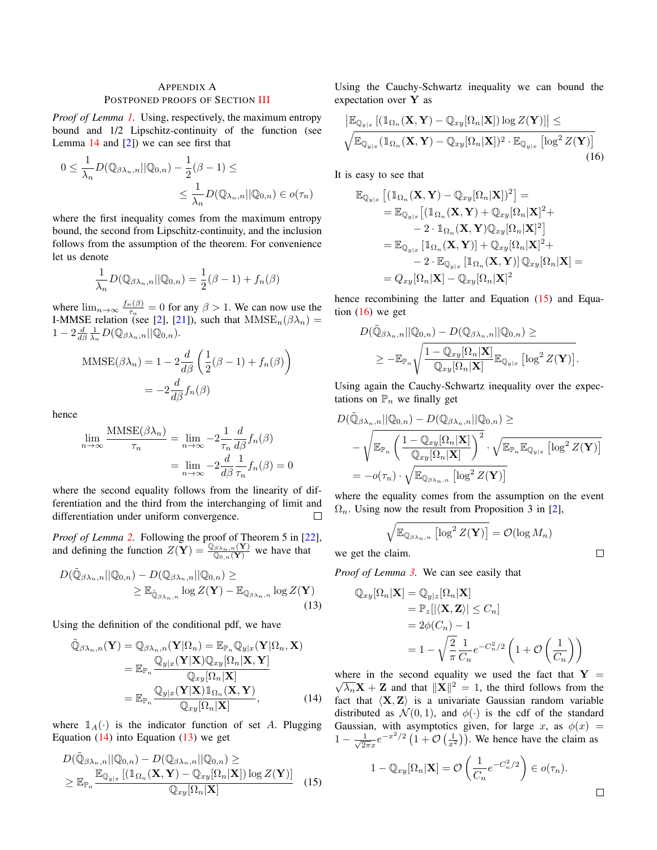# APPENDIX A POSTPONED PROOFS OF SECTION [III](#page-1-4)

*Proof of Lemma [1.](#page-2-5)* Using, respectively, the maximum entropy bound and 1/2 Lipschitz-continuity of the function (see Lemma  $14$  and  $[2]$ ) we can see first that

$$
0 \leq \frac{1}{\lambda_n} D(\mathbb{Q}_{\beta \lambda_n, n} || \mathbb{Q}_{0,n}) - \frac{1}{2} (\beta - 1) \leq
$$
  

$$
\leq \frac{1}{\lambda_n} D(\mathbb{Q}_{\lambda_n, n} || \mathbb{Q}_{0,n}) \in o(\tau_n)
$$

where the first inequality comes from the maximum entropy bound, the second from Lipschitz-continuity, and the inclusion follows from the assumption of the theorem. For convenience let us denote

$$
\frac{1}{\lambda_n}D(\mathbb{Q}_{\beta\lambda_n,n}||\mathbb{Q}_{0,n}) = \frac{1}{2}(\beta - 1) + f_n(\beta)
$$

where  $\lim_{n\to\infty}\frac{f_n(\beta)}{\tau_n}$  $\frac{\partial f_n(\beta)}{\partial \tau_n} = 0$  for any  $\beta > 1$ . We can now use the I-MMSE relation (see [\[2\]](#page-8-1), [\[21\]](#page-8-20)), such that  $MMSE_n(\beta \lambda_n) =$  $1-2\frac{d}{d\beta}\frac{1}{\lambda_n}D(\mathbb{Q}_{\beta\lambda_n,n}||\mathbb{Q}_{0,n}).$ 

$$
\text{MMSE}(\beta \lambda_n) = 1 - 2 \frac{d}{d\beta} \left( \frac{1}{2} (\beta - 1) + f_n(\beta) \right)
$$

$$
= -2 \frac{d}{d\beta} f_n(\beta)
$$

hence

$$
\lim_{n \to \infty} \frac{\text{MMSE}(\beta \lambda_n)}{\tau_n} = \lim_{n \to \infty} -2 \frac{1}{\tau_n} \frac{d}{d\beta} f_n(\beta)
$$

$$
= \lim_{n \to \infty} -2 \frac{d}{d\beta} \frac{1}{\tau_n} f_n(\beta) = 0
$$

where the second equality follows from the linearity of differentiation and the third from the interchanging of limit and differentiation under uniform convergence.

*Proof of Lemma [2.](#page-2-3)* Following the proof of Theorem 5 in [\[22\]](#page-8-21), and defining the function  $Z(\mathbf{Y}) = \frac{\mathbb{Q}_{\beta \lambda_n,n}(\mathbf{Y})}{\mathbb{Q}_{0,n}(\mathbf{Y})}$  we have that

$$
D(\tilde{\mathbb{Q}}_{\beta\lambda_n,n}||\mathbb{Q}_{0,n}) - D(\mathbb{Q}_{\beta\lambda_n,n}||\mathbb{Q}_{0,n}) \ge
$$
  
 
$$
\ge \mathbb{E}_{\tilde{\mathbb{Q}}_{\beta\lambda_n,n}} \log Z(\mathbf{Y}) - \mathbb{E}_{\mathbb{Q}_{\beta\lambda_n,n}} \log Z(\mathbf{Y})
$$
(13)

Using the definition of the conditional pdf, we have

$$
\tilde{\mathbb{Q}}_{\beta\lambda_n,n}(\mathbf{Y}) = \mathbb{Q}_{\beta\lambda_n,n}(\mathbf{Y}|\Omega_n) = \mathbb{E}_{\mathbb{P}_n}\mathbb{Q}_{y|x}(\mathbf{Y}|\Omega_n, \mathbf{X})
$$
\n
$$
= \mathbb{E}_{\mathbb{P}_n}\frac{\mathbb{Q}_{y|x}(\mathbf{Y}|\mathbf{X})\mathbb{Q}_{xy}[\Omega_n|\mathbf{X}, \mathbf{Y}]}{\mathbb{Q}_{xy}[\Omega_n|\mathbf{X}]}
$$
\n
$$
= \mathbb{E}_{\mathbb{P}_n}\frac{\mathbb{Q}_{y|x}(\mathbf{Y}|\mathbf{X})\mathbb{1}_{\Omega_n}(\mathbf{X}, \mathbf{Y})}{\mathbb{Q}_{xy}[\Omega_n|\mathbf{X}]},
$$
\n(14)

where  $\mathbb{1}_A(\cdot)$  is the indicator function of set A. Plugging Equation  $(14)$  into Equation  $(13)$  we get

$$
D(\tilde{\mathbb{Q}}_{\beta\lambda_n,n}||\mathbb{Q}_{0,n}) - D(\mathbb{Q}_{\beta\lambda_n,n}||\mathbb{Q}_{0,n}) \ge
$$
  
\n
$$
\geq \mathbb{E}_{\mathbb{P}_n} \frac{\mathbb{E}_{\mathbb{Q}_{y|x}}[(\mathbb{1}_{\Omega_n}(\mathbf{X}, \mathbf{Y}) - \mathbb{Q}_{xy}[\Omega_n|\mathbf{X}]) \log Z(\mathbf{Y})]}{\mathbb{Q}_{xy}[\Omega_n|\mathbf{X}]}
$$
(15)

Using the Cauchy-Schwartz inequality we can bound the expectation over Y as

$$
\frac{\left| \mathbb{E}_{\mathbb{Q}_{y|x}} \left[ \left( \mathbb{1}_{\Omega_n} (\mathbf{X}, \mathbf{Y}) - \mathbb{Q}_{xy} [\Omega_n | \mathbf{X}] \right) \log Z(\mathbf{Y}) \right] \right| \leq}{\sqrt{\mathbb{E}_{\mathbb{Q}_{y|x}} \left( \mathbb{1}_{\Omega_n} (\mathbf{X}, \mathbf{Y}) - \mathbb{Q}_{xy} [\Omega_n | \mathbf{X}] \right)^2 \cdot \mathbb{E}_{\mathbb{Q}_{y|x}} \left[ \log^2 Z(\mathbf{Y}) \right]}}
$$
(16)

It is easy to see that

<span id="page-5-3"></span>
$$
\mathbb{E}_{\mathbb{Q}_{y|x}}\left[ (\mathbb{1}_{\Omega_n}(\mathbf{X}, \mathbf{Y}) - \mathbb{Q}_{xy}[\Omega_n|\mathbf{X}])^2 \right] =
$$
\n
$$
= \mathbb{E}_{\mathbb{Q}_{y|x}}\left[ (\mathbb{1}_{\Omega_n}(\mathbf{X}, \mathbf{Y}) + \mathbb{Q}_{xy}[\Omega_n|\mathbf{X}]^2 +
$$
\n
$$
- 2 \cdot \mathbb{1}_{\Omega_n}(\mathbf{X}, \mathbf{Y}) \mathbb{Q}_{xy}[\Omega_n|\mathbf{X}]^2 \right]
$$
\n
$$
= \mathbb{E}_{\mathbb{Q}_{y|x}}\left[ \mathbb{1}_{\Omega_n}(\mathbf{X}, \mathbf{Y}) \right] + \mathbb{Q}_{xy}[\Omega_n|\mathbf{X}]^2 +
$$
\n
$$
- 2 \cdot \mathbb{E}_{\mathbb{Q}_{y|x}}\left[ \mathbb{1}_{\Omega_n}(\mathbf{X}, \mathbf{Y}) \right] \mathbb{Q}_{xy}[\Omega_n|\mathbf{X}] =
$$
\n
$$
= Q_{xy}[\Omega_n|\mathbf{X}] - \mathbb{Q}_{xy}[\Omega_n|\mathbf{X}]^2
$$

hence recombining the latter and Equation [\(15\)](#page-5-2) and Equation  $(16)$  we get

$$
D(\tilde{\mathbb{Q}}_{\beta\lambda_n,n}||\mathbb{Q}_{0,n}) - D(\mathbb{Q}_{\beta\lambda_n,n}||\mathbb{Q}_{0,n}) \geq
$$
  
 
$$
\geq -\mathbb{E}_{\mathbb{P}_n}\sqrt{\frac{1-\mathbb{Q}_{xy}[\Omega_n|\mathbf{X}]}{\mathbb{Q}_{xy}[\Omega_n|\mathbf{X}]}\mathbb{E}_{\mathbb{Q}_{y|x}}\left[\log^2 Z(\mathbf{Y})\right]}.
$$

Using again the Cauchy-Schwartz inequality over the expectations on  $\mathbb{P}_n$  we finally get

$$
D(\tilde{\mathbb{Q}}_{\beta\lambda_n,n}||\mathbb{Q}_{0,n}) - D(\mathbb{Q}_{\beta\lambda_n,n}||\mathbb{Q}_{0,n}) \ge
$$
  

$$
-\sqrt{\mathbb{E}_{\mathbb{P}_n}\left(\frac{1-\mathbb{Q}_{xy}[\Omega_n|\mathbf{X}]}{\mathbb{Q}_{xy}[\Omega_n|\mathbf{X}]}\right)^2} \cdot \sqrt{\mathbb{E}_{\mathbb{P}_n}\mathbb{E}_{\mathbb{Q}_{y|x}}\left[\log^2 Z(\mathbf{Y})\right]}
$$
  

$$
= -o(\tau_n) \cdot \sqrt{\mathbb{E}_{\mathbb{Q}_{\beta\lambda_n,n}}\left[\log^2 Z(\mathbf{Y})\right]}
$$

where the equality comes from the assumption on the event  $\Omega_n$ . Using now the result from Proposition 3 in [\[2\]](#page-8-1),

$$
\sqrt{\mathbb{E}_{\mathbb{Q}_{\beta\lambda_n,n}}\left[\log^2 Z(\mathbf{Y})\right]} = \mathcal{O}(\log M_n)
$$

we get the claim.

<span id="page-5-1"></span>*Proof of Lemma [3.](#page-2-4)* We can see easily that

$$
\mathbb{Q}_{xy}[\Omega_n|\mathbf{X}] = \mathbb{Q}_{y|z}[\Omega_n|\mathbf{X}]
$$
  
=  $\mathbb{P}_z[|\langle \mathbf{X}, \mathbf{Z} \rangle| \leq C_n]$   
=  $2\phi(C_n) - 1$   
=  $1 - \sqrt{\frac{2}{\pi}} \frac{1}{C_n} e^{-C_n^2/2} \left(1 + \mathcal{O}\left(\frac{1}{C_n}\right)\right)$ 

<span id="page-5-0"></span>where in the second equality we used the fact that  $Y =$  $\overline{\lambda_n} \mathbf{X} + \mathbf{Z}$  and that  $\|\mathbf{X}\|^2 = 1$ , the third follows from the fact that  $\langle X, Z \rangle$  is a univariate Gaussian random variable distributed as  $\mathcal{N}(0, 1)$ , and  $\phi(\cdot)$  is the cdf of the standard Gaussian, with asymptotics given, for large x, as  $\phi(x)$  =  $1 - \frac{1}{\sqrt{2}}$  $\frac{1}{2\pi x}e^{-x^2/2}\left(1+\mathcal{O}\left(\frac{1}{x^2}\right)\right)$ . We hence have the claim as

<span id="page-5-2"></span>
$$
1 - \mathbb{Q}_{xy}[\Omega_n | \mathbf{X}] = \mathcal{O}\left(\frac{1}{C_n} e^{-C_n^2/2}\right) \in o(\tau_n).
$$

 $\Box$ 

 $\Box$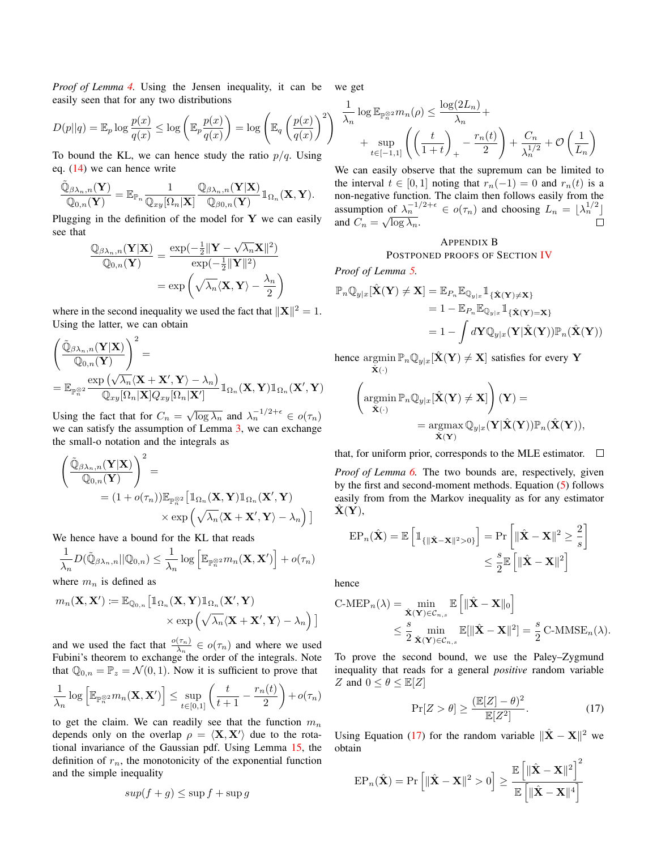*Proof of Lemma [4.](#page-2-2)* Using the Jensen inequality, it can be we get easily seen that for any two distributions

$$
D(p||q) = \mathbb{E}_p \log \frac{p(x)}{q(x)} \le \log \left( \mathbb{E}_p \frac{p(x)}{q(x)} \right) = \log \left( \mathbb{E}_q \left( \frac{p(x)}{q(x)} \right)^2 \right) \overline{\lambda_n}
$$

To bound the KL, we can hence study the ratio  $p/q$ . Using eq. [\(14\)](#page-5-0) we can hence write

$$
\frac{\tilde{\mathbb{Q}}_{\beta\lambda_n,n}(\mathbf{Y})}{\mathbb{Q}_{0,n}(\mathbf{Y})} = \mathbb{E}_{\mathbb{P}_n} \frac{1}{\mathbb{Q}_{xy}[\Omega_n|\mathbf{X}]} \frac{\mathbb{Q}_{\beta\lambda_n,n}(\mathbf{Y}|\mathbf{X})}{\mathbb{Q}_{\beta0,n}(\mathbf{Y})} \mathbb{1}_{\Omega_n}(\mathbf{X},\mathbf{Y}).
$$

Plugging in the definition of the model for  $Y$  we can easily see that

$$
\frac{\mathbb{Q}_{\beta\lambda_n,n}(\mathbf{Y}|\mathbf{X})}{\mathbb{Q}_{0,n}(\mathbf{Y})} = \frac{\exp(-\frac{1}{2}\|\mathbf{Y} - \sqrt{\lambda_n}\mathbf{X}\|^2)}{\exp(-\frac{1}{2}\|\mathbf{Y}\|^2)}\\ = \exp\left(\sqrt{\lambda_n}\langle \mathbf{X}, \mathbf{Y}\rangle - \frac{\lambda_n}{2}\right)
$$

where in the second inequality we used the fact that  $||\mathbf{X}||^2 = 1$ . Using the latter, we can obtain

$$
\begin{aligned} & \left( \frac{\tilde{\mathbb{Q}}_{\beta \lambda_n,n}(\mathbf{Y}|\mathbf{X})}{\mathbb{Q}_{0,n}(\mathbf{Y})} \right)^2 = \\ &= \mathbb{E}_{\mathbb{P}_n^{\otimes 2}} \frac{\exp\left( \sqrt{\lambda_n} \langle \mathbf{X} + \mathbf{X}', \mathbf{Y} \rangle - \lambda_n \right)}{\mathbb{Q}_{xy}[\Omega_n|\mathbf{X}]Q_{xy}[\Omega_n|\mathbf{X}']} \mathbb{1}_{\Omega_n}(\mathbf{X},\mathbf{Y}) \mathbb{1}_{\Omega_n}(\mathbf{X}',\mathbf{Y}) \end{aligned}
$$

Using the fact that for  $C_n = \sqrt{\log \lambda_n}$  and  $\lambda_n^{-1/2+\epsilon} \in o(\tau_n)$ we can satisfy the assumption of Lemma [3,](#page-2-4) we can exchange the small-o notation and the integrals as

$$
\begin{aligned}\n&\left(\frac{\tilde{\mathbb{Q}}_{\beta\lambda_n,n}(\mathbf{Y}|\mathbf{X})}{\mathbb{Q}_{0,n}(\mathbf{Y})}\right)^2 = \\
&= (1+o(\tau_n)) \mathbb{E}_{\mathbb{P}_n^{\otimes 2}} \Big[\mathbb{1}_{\Omega_n}(\mathbf{X}, \mathbf{Y}) \mathbb{1}_{\Omega_n}(\mathbf{X}', \mathbf{Y}) \\
&\times \exp\left(\sqrt{\lambda_n} \langle \mathbf{X} + \mathbf{X}', \mathbf{Y} \rangle - \lambda_n\right)\Big]\n\end{aligned}
$$

We hence have a bound for the KL that reads

$$
\frac{1}{\lambda_n}D(\tilde{\mathbb{Q}}_{\beta\lambda_n,n}||\mathbb{Q}_{0,n}) \leq \frac{1}{\lambda_n}\log\left[\mathbb{E}_{\mathbb{P}_n^{\otimes 2}}m_n(\mathbf{X}, \mathbf{X}')\right] + o(\tau_n)
$$

where  $m_n$  is defined as

$$
m_n(\mathbf{X}, \mathbf{X}') \coloneqq \mathbb{E}_{\mathbb{Q}_{0,n}} \big[ \mathbb{1}_{\Omega_n}(\mathbf{X}, \mathbf{Y}) \mathbb{1}_{\Omega_n}(\mathbf{X}', \mathbf{Y}) \times \exp \left( \sqrt{\lambda_n} \langle \mathbf{X} + \mathbf{X}', \mathbf{Y} \rangle - \lambda_n \right) \big]
$$

and we used the fact that  $\frac{o(\tau_n)}{\lambda_n} \in o(\tau_n)$  and where we used Fubini's theorem to exchange the order of the integrals. Note that  $\mathbb{Q}_{0,n} = \mathbb{P}_z = \mathcal{N}(0,1)$ . Now it is sufficient to prove that

$$
\frac{1}{\lambda_n} \log \left[ \mathbb{E}_{\mathbb{P}_n^{\otimes 2}} m_n(\mathbf{X}, \mathbf{X}') \right] \le \sup_{t \in [0,1]} \left( \frac{t}{t+1} - \frac{r_n(t)}{2} \right) + o(\tau_n)
$$

to get the claim. We can readily see that the function  $m_n$ depends only on the overlap  $\rho = \langle \mathbf{X}, \mathbf{X}' \rangle$  due to the rotational invariance of the Gaussian pdf. Using Lemma [15,](#page-7-2) the definition of  $r_n$ , the monotonicity of the exponential function and the simple inequality

$$
sup(f+g) \le \sup f + \sup g
$$

$$
\frac{1}{\lambda_n} \log \mathbb{E}_{\mathbb{P}_n^{\otimes 2}} m_n(\rho) \le \frac{\log(2L_n)}{\lambda_n} + \sum_{t \in [-1,1]} \left( \left( \frac{t}{1+t} \right)_+ - \frac{r_n(t)}{2} \right) + \frac{C_n}{\lambda_n^{1/2}} + \mathcal{O}\left(\frac{1}{L_n}\right)
$$

We can easily observe that the supremum can be limited to the interval  $t \in [0, 1]$  noting that  $r_n(-1) = 0$  and  $r_n(t)$  is a non-negative function. The claim then follows easily from the assumption of  $\lambda_n^{-1/2+\epsilon} \in o(\tau_n)$  and choosing  $L_n = \lfloor \lambda_n^{1/2} \rfloor$ and  $C_n = \sqrt{\log \lambda_n}$ .  $\Box$ 

## APPENDIX B

# POSTPONED PROOFS OF SECTION [IV](#page-2-6)

*Proof of Lemma [5.](#page-2-7)*

$$
\mathbb{P}_n \mathbb{Q}_{y|x}[\hat{\mathbf{X}}(\mathbf{Y}) \neq \mathbf{X}] = \mathbb{E}_{P_n} \mathbb{E}_{\mathbb{Q}_{y|x}} \mathbb{1}_{\{\hat{\mathbf{X}}(\mathbf{Y}) \neq \mathbf{X}\}} \n= 1 - \mathbb{E}_{P_n} \mathbb{E}_{\mathbb{Q}_{y|x}} \mathbb{1}_{\{\hat{\mathbf{X}}(\mathbf{Y}) = \mathbf{X}\}} \n= 1 - \int d\mathbf{Y} \mathbb{Q}_{y|x}(\mathbf{Y}|\hat{\mathbf{X}}(\mathbf{Y})) \mathbb{P}_n(\hat{\mathbf{X}}(\mathbf{Y}))
$$

hence argmin  $\hat{\mathbf{X}}(\cdot)$  $\mathbb{P}_n \mathbb{Q}_{y|x}[\hat{\mathbf{X}}(\mathbf{Y}) \neq \mathbf{X}]$  satisfies for every  $\mathbf{Y}$ 

$$
\begin{aligned} \left(\underset{\hat{\mathbf{X}}(\cdot)}{\operatorname{argmin}} \mathbb{P}_n \mathbb{Q}_{y|x}[\hat{\mathbf{X}}(\mathbf{Y}) \neq \mathbf{X}]\right)(\mathbf{Y}) &= \\ &= \operatorname{argmax}_{\hat{\mathbf{X}}(\mathbf{Y})} \mathbb{Q}_{y|x}(\mathbf{Y}|\hat{\mathbf{X}}(\mathbf{Y})) \mathbb{P}_n(\hat{\mathbf{X}}(\mathbf{Y})), \end{aligned}
$$

that, for uniform prior, corresponds to the MLE estimator.  $\Box$ 

*Proof of Lemma [6.](#page-3-7)* The two bounds are, respectively, given by the first and second-moment methods. Equation [\(5\)](#page-3-3) follows easily from from the Markov inequality as for any estimator  ${\bf X}({\bf Y}),$ 

$$
\mathrm{EP}_n(\hat{\mathbf{X}}) = \mathbb{E}\left[\mathbb{1}_{\{\|\hat{\mathbf{X}} - \mathbf{X}\|^2 > 0\}}\right] = \mathrm{Pr}\left[\|\hat{\mathbf{X}} - \mathbf{X}\|^2 \ge \frac{2}{s}\right] \le \frac{s}{2} \mathbb{E}\left[\|\hat{\mathbf{X}} - \mathbf{X}\|^2\right]
$$

hence

$$
\begin{split} \text{C-MEP}_n(\lambda) &= \min_{\hat{\mathbf{X}}(\mathbf{Y}) \in \mathcal{C}_{n,s}} \mathbb{E}\left[\|\hat{\mathbf{X}} - \mathbf{X}\|_0\right] \\ &\leq \frac{s}{2} \min_{\hat{\mathbf{X}}(\mathbf{Y}) \in \mathcal{C}_{n,s}} \mathbb{E}[\|\hat{\mathbf{X}} - \mathbf{X}\|^2] = \frac{s}{2} \text{C-MMSE}_n(\lambda). \end{split}
$$

To prove the second bound, we use the Paley–Zygmund inequality that reads for a general *positive* random variable Z and  $0 \leq \theta \leq \mathbb{E}[Z]$ 

<span id="page-6-0"></span>
$$
\Pr[Z > \theta] \ge \frac{(\mathbb{E}[Z] - \theta)^2}{\mathbb{E}[Z^2]}.\tag{17}
$$

Using Equation [\(17\)](#page-6-0) for the random variable  $\|\hat{\mathbf{X}} - \mathbf{X}\|^2$  we obtain

$$
\text{EP}_n(\hat{\mathbf{X}}) = \Pr\left[ \|\hat{\mathbf{X}} - \mathbf{X}\|^2 > 0 \right] \ge \frac{\mathbb{E}\left[ \|\hat{\mathbf{X}} - \mathbf{X}\|^2 \right]^2}{\mathbb{E}\left[ \|\hat{\mathbf{X}} - \mathbf{X}\|^4 \right]}
$$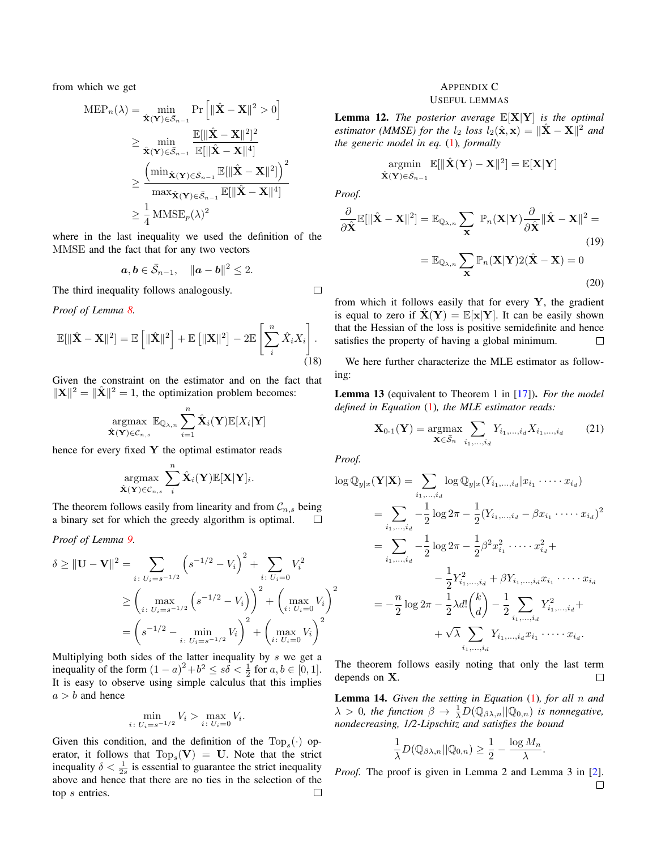from which we get

$$
\begin{aligned} \text{MEP}_n(\lambda) &= \min_{\hat{\mathbf{X}}(\mathbf{Y}) \in \mathcal{S}_{n-1}} \text{Pr}\left[\|\hat{\mathbf{X}} - \mathbf{X}\|^2 > 0\right] \\ &\geq \min_{\hat{\mathbf{X}}(\mathbf{Y}) \in \mathcal{S}_{n-1}} \frac{\mathbb{E}[\|\hat{\mathbf{X}} - \mathbf{X}\|^2]^2}{\mathbb{E}[\|\hat{\mathbf{X}} - \mathbf{X}\|^4]} \\ &\geq \frac{\left(\min_{\hat{\mathbf{X}}(\mathbf{Y}) \in \mathcal{S}_{n-1}} \mathbb{E}[\|\hat{\mathbf{X}} - \mathbf{X}\|^2]\right)^2}{\max_{\hat{\mathbf{X}}(\mathbf{Y}) \in \mathcal{S}_{n-1}} \mathbb{E}[\|\hat{\mathbf{X}} - \mathbf{X}\|^4]} \\ &\geq \frac{1}{4} \text{MMSE}_p(\lambda)^2 \end{aligned}
$$

where in the last inequality we used the definition of the MMSE and the fact that for any two vectors

$$
\boldsymbol{a},\boldsymbol{b}\in\bar{\mathcal{S}}_{n-1},\quad \|\boldsymbol{a}-\boldsymbol{b}\|^2\leq 2.
$$

The third inequality follows analogously.

*Proof of Lemma [8.](#page-3-4)*

$$
\mathbb{E}[\|\hat{\mathbf{X}} - \mathbf{X}\|^2] = \mathbb{E}\left[\|\hat{\mathbf{X}}\|^2\right] + \mathbb{E}\left[\|\mathbf{X}\|^2\right] - 2\mathbb{E}\left[\sum_{i}^{n} \hat{X}_i X_i\right].
$$
\n(18)

Given the constraint on the estimator and on the fact that  $\|\mathbf{X}\|^2 = \|\hat{\mathbf{X}}\|^2 = 1$ , the optimization problem becomes:

$$
\underset{\hat{\mathbf{X}}(\mathbf{Y}) \in \mathcal{C}_{n,s}}{\text{argmax}} \mathbb{E}_{\mathbb{Q}_{\lambda,n}} \sum_{i=1}^{n} \hat{\mathbf{X}}_i(\mathbf{Y}) \mathbb{E}[X_i|\mathbf{Y}]
$$

hence for every fixed  $Y$  the optimal estimator reads

$$
\underset{\hat{\mathbf{X}}(\mathbf{Y}) \in \mathcal{C}_{n,s}}{\text{argmax}} \sum_{i}^{n} \hat{\mathbf{X}}_{i}(\mathbf{Y}) \mathbb{E}[\mathbf{X}|\mathbf{Y}]_{i}.
$$

The theorem follows easily from linearity and from  $\mathcal{C}_{n,s}$  being a binary set for which the greedy algorithm is optimal.  $\Box$ 

*Proof of Lemma [9.](#page-4-1)*

$$
\delta \ge ||\mathbf{U} - \mathbf{V}||^2 = \sum_{i \colon U_i = s^{-1/2}} \left( s^{-1/2} - V_i \right)^2 + \sum_{i \colon U_i = 0} V_i^2
$$
  

$$
\ge \left( \max_{i \colon U_i = s^{-1/2}} \left( s^{-1/2} - V_i \right) \right)^2 + \left( \max_{i \colon U_i = 0} V_i \right)^2
$$
  

$$
= \left( s^{-1/2} - \min_{i \colon U_i = s^{-1/2}} V_i \right)^2 + \left( \max_{i \colon U_i = 0} V_i \right)^2
$$

Multiplying both sides of the latter inequality by  $s$  we get a inequality of the form  $(1 - a)^2 + b^2 \leq s\delta < \frac{1}{2}$  for  $a, b \in [0, 1]$ . It is easy to observe using simple calculus that this implies  $a > b$  and hence

$$
\min_{i \colon U_i = s^{-1/2}} V_i > \max_{i \colon U_i = 0} V_i.
$$

Given this condition, and the definition of the  $\text{Top}_s(\cdot)$  operator, it follows that  $Top_s(V) = U$ . Note that the strict inequality  $\delta < \frac{1}{2s}$  is essential to guarantee the strict inequality above and hence that there are no ties in the selection of the top s entries.  $\Box$ 

# APPENDIX C USEFUL LEMMAS

<span id="page-7-0"></span>Lemma 12. *The posterior average* E[X|Y] *is the optimal estimator (MMSE) for the*  $l_2$  *loss*  $l_2(\hat{\mathbf{x}}, \mathbf{x}) = ||\hat{\mathbf{X}} - \mathbf{X}||^2$  *and the generic model in eq.* [\(1\)](#page-1-0)*, formally*

$$
\operatornamewithlimits{argmin}_{(\mathbf{Y}) \in \bar{\mathcal{S}}_{n-1}} \mathbb{E}[\|\hat{\mathbf{X}}(\mathbf{Y}) - \mathbf{X}\|^2] = \mathbb{E}[\mathbf{X}|\mathbf{Y}]
$$

*Proof.*

 $\Box$ 

 $\hat{\mathbf{X}}$ 

$$
\frac{\partial}{\partial \hat{\mathbf{X}}} \mathbb{E}[\|\hat{\mathbf{X}} - \mathbf{X}\|^2] = \mathbb{E}_{\mathbb{Q}_{\lambda,n}} \sum_{\mathbf{X}} \mathbb{P}_n(\mathbf{X}|\mathbf{Y}) \frac{\partial}{\partial \hat{\mathbf{X}}} \|\hat{\mathbf{X}} - \mathbf{X}\|^2 =
$$
\n
$$
= \mathbb{E}_{\mathbb{Q}_{\lambda,n}} \sum_{\mathbf{X}} \mathbb{P}_n(\mathbf{X}|\mathbf{Y}) 2(\hat{\mathbf{X}} - \mathbf{X}) = 0
$$
\n(19)

from which it follows easily that for every  $Y$ , the gradient is equal to zero if  $\mathbf{X}(Y) = \mathbb{E}[\mathbf{x}|Y]$ . It can be easily shown that the Hessian of the loss is positive semidefinite and hence satisfies the property of having a global minimum.  $\Box$ 

We here further characterize the MLE estimator as following:

Lemma 13 (equivalent to Theorem 1 in [\[17\]](#page-8-16)). *For the model defined in Equation* [\(1\)](#page-1-0)*, the MLE estimator reads:*

$$
\mathbf{X}_{0-1}(\mathbf{Y}) = \underset{\mathbf{X} \in \bar{S}_n}{\text{argmax}} \sum_{i_1, ..., i_d} Y_{i_1, ..., i_d} X_{i_1, ..., i_d} \tag{21}
$$

*Proof.*

$$
\log \mathbb{Q}_{y|x}(\mathbf{Y}|\mathbf{X}) = \sum_{i_1,\dots,i_d} \log \mathbb{Q}_{y|x}(Y_{i_1,\dots,i_d}|x_{i_1} \cdot \dots \cdot x_{i_d})
$$
  
\n
$$
= \sum_{i_1,\dots,i_d} -\frac{1}{2} \log 2\pi - \frac{1}{2} (Y_{i_1,\dots,i_d} - \beta x_{i_1} \cdot \dots \cdot x_{i_d})^2
$$
  
\n
$$
= \sum_{i_1,\dots,i_d} -\frac{1}{2} \log 2\pi - \frac{1}{2} \beta^2 x_{i_1}^2 \cdot \dots \cdot x_{i_d}^2 +
$$
  
\n
$$
- \frac{1}{2} Y_{i_1,\dots,i_d}^2 + \beta Y_{i_1,\dots,i_d} x_{i_1} \cdot \dots \cdot x_{i_d}
$$
  
\n
$$
= -\frac{n}{2} \log 2\pi - \frac{1}{2} \lambda d! \binom{k}{d} - \frac{1}{2} \sum_{i_1,\dots,i_d} Y_{i_1,\dots,i_d}^2 +
$$
  
\n
$$
+ \sqrt{\lambda} \sum_{i_1,\dots,i_d} Y_{i_1,\dots,i_d} x_{i_1} \cdot \dots \cdot x_{i_d}.
$$

The theorem follows easily noting that only the last term depends on X.  $\Box$ 

<span id="page-7-1"></span>Lemma 14. *Given the setting in Equation* [\(1\)](#page-1-0)*, for all* n *and*  $\lambda > 0$ , the function  $\beta \to \frac{1}{\lambda}D(\mathbb{Q}_{\beta\lambda,n}||\mathbb{Q}_{0,n})$  *is nonnegative*, *nondecreasing, 1/2-Lipschitz and satisfies the bound*

$$
\frac{1}{\lambda}D(\mathbb{Q}_{\beta\lambda,n}||\mathbb{Q}_{0,n}) \ge \frac{1}{2} - \frac{\log M_n}{\lambda}
$$

.

<span id="page-7-2"></span>*Proof.* The proof is given in Lemma 2 and Lemma 3 in [\[2\]](#page-8-1). $\Box$